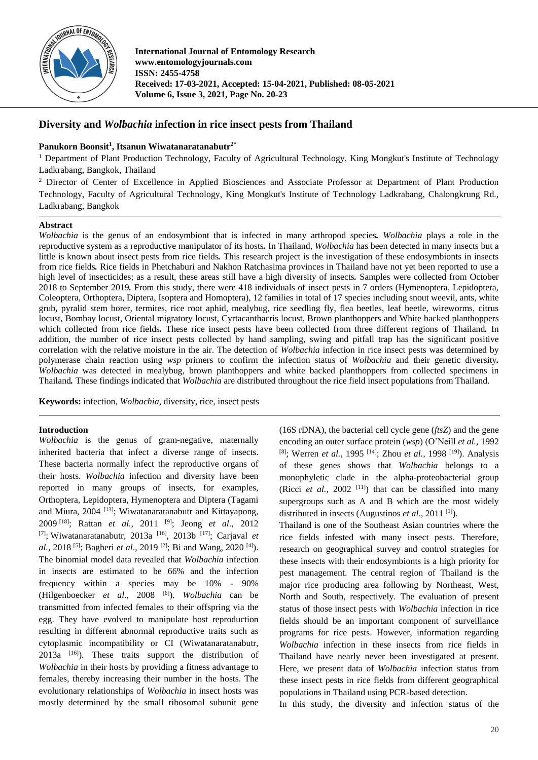

**International Journal of Entomology Research www.entomologyjournals.com ISSN: 2455-4758 Received: 17-03-2021, Accepted: 15-04-2021, Published: 08-05-2021 Volume 6, Issue 3, 2021, Page No. 20-23**

# **Diversity and** *Wolbachia* **infection in rice insect pests from Thailand**

# **Panukorn Boonsit<sup>1</sup> , Itsanun Wiwatanaratanabutr2\***

<sup>1</sup> Department of Plant Production Technology, Faculty of Agricultural Technology, King Mongkut's Institute of Technology Ladkrabang, Bangkok, Thailand

<sup>2</sup> Director of Center of Excellence in Applied Biosciences and Associate Professor at Department of Plant Production Technology, Faculty of Agricultural Technology, King Mongkut's Institute of Technology Ladkrabang, Chalongkrung Rd., Ladkrabang, Bangkok

### **Abstract**

*Wolbachia* is the genus of an endosymbiont that is infected in many arthropod species*. Wolbachia* plays a role in the reproductive system as a reproductive manipulator of its hosts*.* In Thailand, *Wolbachia* has been detected in many insects but a little is known about insect pests from rice fields*.* This research project is the investigation of these endosymbionts in insects from rice fields*.* Rice fields in Phetchaburi and Nakhon Ratchasima provinces in Thailand have not yet been reported to use a high level of insecticides; as a result, these areas still have a high diversity of insects*.* Samples were collected from October 2018 to September 2019*.* From this study, there were 418 individuals of insect pests in 7 orders (Hymenoptera, Lepidoptera, Coleoptera, Orthoptera, Diptera, Isoptera and Homoptera), 12 families in total of 17 species including snout weevil, ants, white grub**,** pyralid stem borer, termites, rice root aphid, mealybug, rice seedling fly, flea beetles, leaf beetle, wireworms, citrus locust, Bombay locust, Oriental migratory locust, Cyrtacanthacris locust, Brown planthoppers and White backed planthoppers which collected from rice fields*.* These rice insect pests have been collected from three different regions of Thailand*.* In addition, the number of rice insect pests collected by hand sampling, swing and pitfall trap has the significant positive correlation with the relative moisture in the air. The detection of *Wolbachia* infection in rice insect pests was determined by polymerase chain reaction using *wsp* primers to confirm the infection status of *Wolbachia* and their genetic diversity*. Wolbachia* was detected in mealybug, brown planthoppers and white backed planthoppers from collected specimens in Thailand*.* These findings indicated that *Wolbachia* are distributed throughout the rice field insect populations from Thailand.

**Keywords:** infection, *Wolbachia*, diversity, rice, insect pests

### **Introduction**

*Wolbachia* is the genus of gram-negative, maternally inherited bacteria that infect a diverse range of insects. These bacteria normally infect the reproductive organs of their hosts. *Wolbachia* infection and diversity have been reported in many groups of insects, for examples, Orthoptera, Lepidoptera, Hymenoptera and Diptera (Tagami and Miura, 2004 [13]; Wiwatanaratanabutr and Kittayapong, 2009 [18]; Rattan *et al.*, 2011 [9]; Jeong *et al*., 2012 [7]; Wiwatanaratanabutr, 2013a [16], 2013b [17]; Carjaval *et al.,* 2018 [5]; Bagheri *et al*., 2019 [2]; Bi and Wang, 2020 [4]). The binomial model data revealed that *Wolbachia* infection in insects are estimated to be 66% and the infection frequency within a species may be 10% - 90% (Hilgenboecker *et al.,* 2008 [6]). *Wolbachia* can be transmitted from infected females to their offspring via the egg. They have evolved to manipulate host reproduction resulting in different abnormal reproductive traits such as cytoplasmic incompatibility or CI (Wiwatanaratanabutr,  $2013a$  <sup>[16]</sup>). These traits support the distribution of *Wolbachia* in their hosts by providing a fitness advantage to females, thereby increasing their number in the hosts. The evolutionary relationships of *Wolbachia* in insect hosts was mostly determined by the small ribosomal subunit gene

(16S rDNA), the bacterial cell cycle gene (*ftsZ*) and the gene encoding an outer surface protein (*wsp*) (O'Neill *et al.,* 1992 [8]; Werren *et al.,* 1995 [14]; Zhou *et al.,* 1998 [19]). Analysis of these genes shows that *Wolbachia* belongs to a monophyletic clade in the alpha-proteobacterial group (Ricci *et al.*, 2002<sup>[11]</sup>) that can be classified into many supergroups such as A and B which are the most widely distributed in insects (Augustinos *et al*., 2011 [1]).

Thailand is one of the Southeast Asian countries where the rice fields infested with many insect pests. Therefore, research on geographical survey and control strategies for these insects with their endosymbionts is a high priority for pest management. The central region of Thailand is the major rice producing area following by Northeast, West, North and South, respectively. The evaluation of present status of those insect pests with *Wolbachia* infection in rice fields should be an important component of surveillance programs for rice pests. However, information regarding *Wolbachia* infection in these insects from rice fields in Thailand have nearly never been investigated at present. Here, we present data of *Wolbachia* infection status from these insect pests in rice fields from different geographical populations in Thailand using PCR-based detection.

In this study, the diversity and infection status of the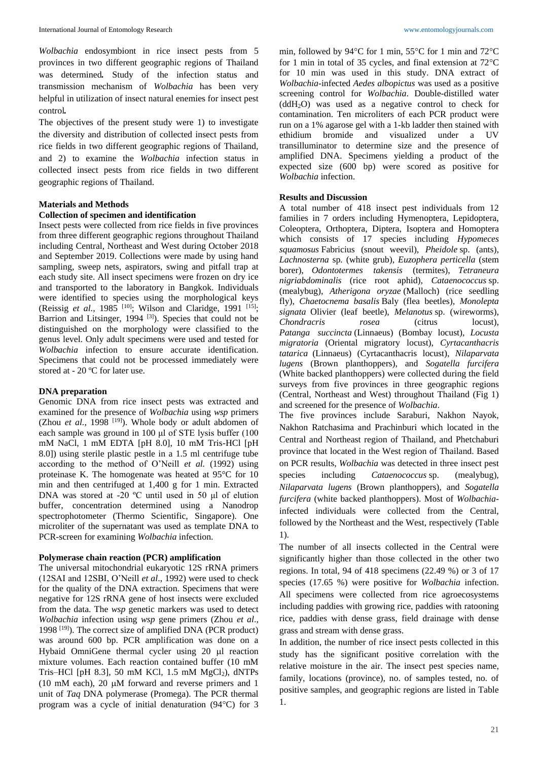*Wolbachia* endosymbiont in rice insect pests from 5 provinces in two different geographic regions of Thailand was determined*.* Study of the infection status and transmission mechanism of *Wolbachia* has been very helpful in utilization of insect natural enemies for insect pest control*.* 

The objectives of the present study were 1) to investigate the diversity and distribution of collected insect pests from rice fields in two different geographic regions of Thailand, and 2) to examine the *Wolbachia* infection status in collected insect pests from rice fields in two different geographic regions of Thailand.

### **Materials and Methods**

#### **Collection of specimen and identification**

Insect pests were collected from rice fields in five provinces from three different geographic regions throughout Thailand including Central, Northeast and West during October 2018 and September 2019. Collections were made by using hand sampling, sweep nets, aspirators, swing and pitfall trap at each study site. All insect specimens were frozen on dry ice and transported to the laboratory in Bangkok. Individuals were identified to species using the morphological keys (Reissig *et al.,* 1985<sup>[10]</sup>; Wilson and Claridge, 1991<sup>[15]</sup>; Barrion and Litsinger, 1994 [3]). Species that could not be distinguished on the morphology were classified to the genus level. Only adult specimens were used and tested for *Wolbachia* infection to ensure accurate identification. Specimens that could not be processed immediately were stored at - 20 ºC for later use.

### **DNA preparation**

Genomic DNA from rice insect pests was extracted and examined for the presence of *Wolbachia* using *wsp* primers (Zhou *et al.*, 1998<sup>[19]</sup>). Whole body or adult abdomen of each sample was ground in 100 μl of STE lysis buffer (100 mM NaCl, 1 mM EDTA [pH 8.0], 10 mM Tris-HCl [pH 8.0]) using sterile plastic pestle in a 1.5 ml centrifuge tube according to the method of O'Neill *et al.* (1992) using proteinase K. The homogenate was heated at 95°C for 10 min and then centrifuged at 1,400 g for 1 min. Extracted DNA was stored at -20 ºC until used in 50 μl of elution buffer, concentration determined using a Nanodrop spectrophotometer (Thermo Scientific, Singapore). One microliter of the supernatant was used as template DNA to PCR-screen for examining *Wolbachia* infection.

# **Polymerase chain reaction (PCR) amplification**

The universal mitochondrial eukaryotic 12S rRNA primers (12SAI and 12SBI, O'Neill *et al*., 1992) were used to check for the quality of the DNA extraction. Specimens that were negative for 12S rRNA gene of host insects were excluded from the data. The *wsp* genetic markers was used to detect *Wolbachia* infection using *wsp* gene primers (Zhou *et al*., 1998 [19]). The correct size of amplified DNA (PCR product) was around 600 bp. PCR amplification was done on a Hybaid OmniGene thermal cycler using 20 µl reaction mixture volumes. Each reaction contained buffer (10 mM Tris–HCl [pH 8.3], 50 mM KCl, 1.5 mM  $MgCl<sub>2</sub>$ ), dNTPs (10 mM each), 20  $\mu$ M forward and reverse primers and 1 unit of *Taq* DNA polymerase (Promega). The PCR thermal program was a cycle of initial denaturation (94°C) for 3

min, followed by 94 $\rm ^{o}C$  for 1 min, 55 $\rm ^{o}C$  for 1 min and 72 $\rm ^{o}C$ for 1 min in total of 35 cycles, and final extension at  $72^{\circ}$ C for 10 min was used in this study. DNA extract of *Wolbachia*-infected *Aedes albopictus* was used as a positive screening control for *Wolbachia*. Double-distilled water  $(ddH_2O)$  was used as a negative control to check for contamination. Ten microliters of each PCR product were run on a 1% agarose gel with a 1-kb ladder then stained with ethidium bromide and visualized under a UV transilluminator to determine size and the presence of amplified DNA. Specimens yielding a product of the expected size (600 bp) were scored as positive for *Wolbachia* infection.

#### **Results and Discussion**

A total number of 418 insect pest individuals from 12 families in 7 orders including Hymenoptera, Lepidoptera, Coleoptera, Orthoptera, Diptera, Isoptera and Homoptera which consists of 17 species including *Hypomeces squamosus* Fabricius (snout weevil), *Pheidole* sp. (ants), *Lachnosterna* sp*.* (white grub), *Euzophera perticella* (stem borer), *Odontotermes takensis* (termites), *Tetraneura nigriabdominalis* (rice root aphid), *Cataenococcus* sp. (mealybug), *Atherigona oryzae* (Malloch) (rice seedling fly), *Chaetocnema basalis* Baly (flea beetles), *Monolepta signata* Olivier (leaf beetle), *Melanotus* sp. (wireworms), *Chondracris rosea* (citrus locust), *Patanga succincta* (Linnaeus) (Bombay locust), *Locusta migratoria* (Oriental migratory locust), *Cyrtacanthacris tatarica* (Linnaeus) (Cyrtacanthacris locust), *Nilaparvata lugens* (Brown planthoppers), and *Sogatella furcifera* (White backed planthoppers) were collected during the field surveys from five provinces in three geographic regions (Central, Northeast and West) throughout Thailand (Fig 1) and screened for the presence of *Wolbachia*.

The five provinces include Saraburi, Nakhon Nayok, Nakhon Ratchasima and Prachinburi which located in the Central and Northeast region of Thailand, and Phetchaburi province that located in the West region of Thailand. Based on PCR results, *Wolbachia* was detected in three insect pest species including *Cataenococcus* sp. (mealybug), *Nilaparvata lugens* (Brown planthoppers), and *Sogatella furcifera* (white backed planthoppers). Most of *Wolbachia*infected individuals were collected from the Central, followed by the Northeast and the West, respectively (Table 1).

The number of all insects collected in the Central were significantly higher than those collected in the other two regions. In total, 94 of 418 specimens (22.49 %) or 3 of 17 species (17.65 %) were positive for *Wolbachia* infection. All specimens were collected from rice agroecosystems including paddies with growing rice, paddies with ratooning rice, paddies with dense grass, field drainage with dense grass and stream with dense grass.

In addition, the number of rice insect pests collected in this study has the significant positive correlation with the relative moisture in the air. The insect pest species name, family, locations (province), no. of samples tested, no. of positive samples, and geographic regions are listed in Table 1.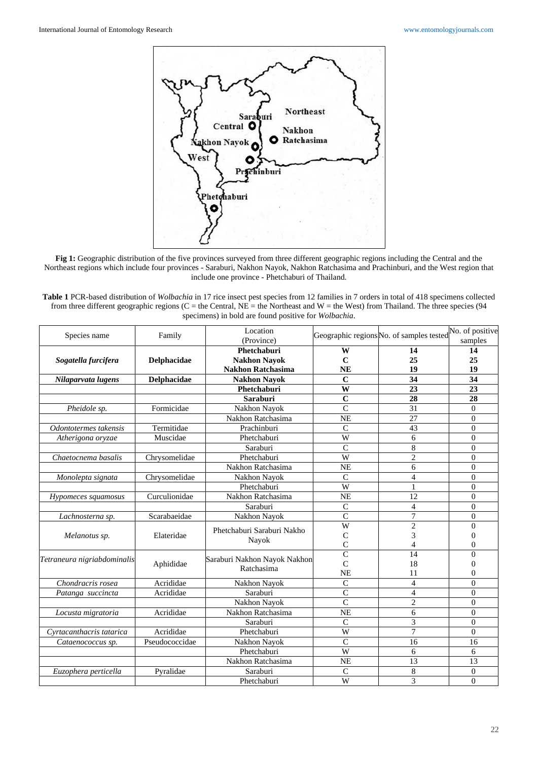

**Fig 1:** Geographic distribution of the five provinces surveyed from three different geographic regions including the Central and the Northeast regions which include four provinces - Saraburi, Nakhon Nayok, Nakhon Ratchasima and Prachinburi, and the West region that include one province - Phetchaburi of Thailand.

| <b>Table 1</b> PCR-based distribution of <i>Wolbachia</i> in 17 rice insect pest species from 12 families in 7 orders in total of 418 specimens collected |
|-----------------------------------------------------------------------------------------------------------------------------------------------------------|
| from three different geographic regions (C = the Central, NE = the Northeast and W = the West) from Thailand. The three species (94                       |
| specimens) in bold are found positive for <i>Wolbachia</i> .                                                                                              |

| Species name                      | Family         | Location<br>(Province)                     |                         | Geographic regions No. of samples tested No. of positive | samples          |
|-----------------------------------|----------------|--------------------------------------------|-------------------------|----------------------------------------------------------|------------------|
|                                   |                | Phetchaburi                                | W                       | 14                                                       | 14               |
| Sogatella furcifera               | Delphacidae    | <b>Nakhon Nayok</b>                        | $\mathbf C$             | 25                                                       | 25               |
|                                   |                | <b>Nakhon Ratchasima</b>                   | <b>NE</b>               | 19                                                       | 19               |
| Nilaparvata lugens                | Delphacidae    | <b>Nakhon Nayok</b>                        | $\mathbf C$             | 34                                                       | 34               |
|                                   |                | Phetchaburi                                | W                       | 23                                                       | 23               |
|                                   |                | <b>Saraburi</b>                            | $\mathbf C$             | 28                                                       | 28               |
| $\overline{P}$ <i>heidole sp.</i> | Formicidae     | Nakhon Nayok                               | $\overline{C}$          | 31                                                       | $\Omega$         |
|                                   |                | Nakhon Ratchasima                          | <b>NE</b>               | $\overline{27}$                                          | $\overline{0}$   |
| Odontotermes takensis             | Termitidae     | Prachinburi                                | $\overline{C}$          | 43                                                       | $\boldsymbol{0}$ |
| Atherigona oryzae                 | Muscidae       | Phetchaburi                                | W                       | 6                                                        | $\overline{0}$   |
|                                   |                | Saraburi                                   | $\mathbf C$             | $\,$ 8 $\,$                                              | $\overline{0}$   |
| Chaetocnema basalis               | Chrysomelidae  | Phetchaburi                                | W                       | $\overline{2}$                                           | $\overline{0}$   |
|                                   |                | Nakhon Ratchasima                          | <b>NE</b>               | 6                                                        | $\overline{0}$   |
| Monolepta signata                 | Chrysomelidae  | Nakhon Nayok                               | $\overline{C}$          | $\overline{4}$                                           | $\overline{0}$   |
|                                   |                | Phetchaburi                                | W                       | 1                                                        | $\theta$         |
| Hypomeces squamosus               | Curculionidae  | Nakhon Ratchasima                          | <b>NE</b>               | 12                                                       | $\overline{0}$   |
|                                   |                | Saraburi                                   | $\mathsf{C}$            | $\overline{4}$                                           | $\overline{0}$   |
| Lachnosterna sp.                  | Scarabaeidae   | Nakhon Nayok                               | $\overline{C}$          | 7                                                        | $\overline{0}$   |
| Melanotus sp.                     | Elateridae     | Phetchaburi Saraburi Nakho<br>Nayok        | $\overline{W}$          | $\overline{2}$                                           | $\theta$         |
|                                   |                |                                            | $\mathsf{C}$            | 3                                                        | 0                |
|                                   |                |                                            | $\overline{C}$          | 4                                                        | $\overline{0}$   |
| Tetraneura nigriabdominalis       | Aphididae      | Saraburi Nakhon Nayok Nakhon<br>Ratchasima | $\overline{C}$          | 14                                                       | $\theta$         |
|                                   |                |                                            | $\overline{C}$          | 18                                                       | $\theta$         |
|                                   |                |                                            | <b>NE</b>               | 11                                                       | $\theta$         |
| Chondracris rosea                 | Acrididae      | Nakhon Nayok                               | $\mathbf C$             | $\overline{4}$                                           | $\theta$         |
| Patanga succincta                 | Acrididae      | Saraburi                                   | $\overline{C}$          | $\overline{4}$                                           | $\overline{0}$   |
|                                   |                | Nakhon Nayok                               | $\overline{C}$          | $\overline{2}$                                           | $\boldsymbol{0}$ |
| Locusta migratoria                | Acrididae      | Nakhon Ratchasima                          | <b>NE</b>               | 6                                                        | $\overline{0}$   |
|                                   |                | Saraburi                                   | $\mathsf{C}$            | 3                                                        | $\overline{0}$   |
| Cyrtacanthacris tatarica          | Acrididae      | Phetchaburi                                | $\overline{\mathbf{W}}$ | $\overline{7}$                                           | $\overline{0}$   |
| Cataenococcus sp.                 | Pseudococcidae | Nakhon Nayok                               | $\overline{C}$          | 16                                                       | 16               |
|                                   |                | Phetchaburi                                | W                       | 6                                                        | 6                |
|                                   |                | Nakhon Ratchasima                          | <b>NE</b>               | 13                                                       | 13               |
| Euzophera perticella              | Pyralidae      | Saraburi                                   | $\mathsf{C}$            | 8                                                        | $\mathbf{0}$     |
|                                   |                | Phetchaburi                                | W                       | 3                                                        | $\mathbf{0}$     |